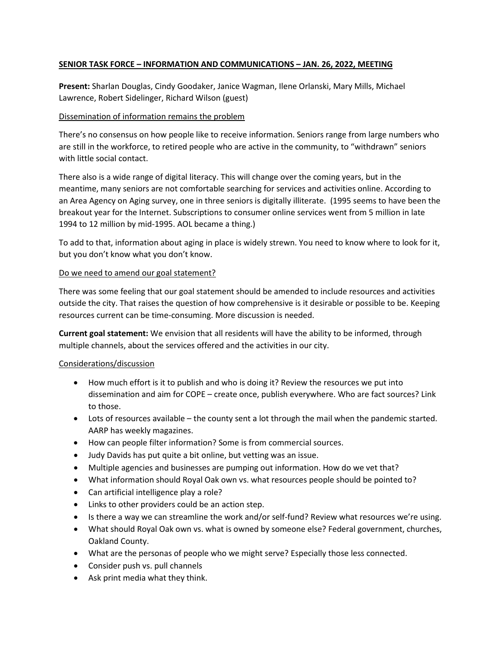# **SENIOR TASK FORCE – INFORMATION AND COMMUNICATIONS – JAN. 26, 2022, MEETING**

**Present:** Sharlan Douglas, Cindy Goodaker, Janice Wagman, Ilene Orlanski, Mary Mills, Michael Lawrence, Robert Sidelinger, Richard Wilson (guest)

# Dissemination of information remains the problem

There's no consensus on how people like to receive information. Seniors range from large numbers who are still in the workforce, to retired people who are active in the community, to "withdrawn" seniors with little social contact.

There also is a wide range of digital literacy. This will change over the coming years, but in the meantime, many seniors are not comfortable searching for services and activities online. According to an Area Agency on Aging survey, one in three seniors is digitally illiterate. (1995 seems to have been the breakout year for the Internet. Subscriptions to consumer online services went from 5 million in late 1994 to 12 million by mid-1995. AOL became a thing.)

To add to that, information about aging in place is widely strewn. You need to know where to look for it, but you don't know what you don't know.

## Do we need to amend our goal statement?

There was some feeling that our goal statement should be amended to include resources and activities outside the city. That raises the question of how comprehensive is it desirable or possible to be. Keeping resources current can be time-consuming. More discussion is needed.

**Current goal statement:** We envision that all residents will have the ability to be informed, through multiple channels, about the services offered and the activities in our city.

# Considerations/discussion

- How much effort is it to publish and who is doing it? Review the resources we put into dissemination and aim for COPE – create once, publish everywhere. Who are fact sources? Link to those.
- Lots of resources available the county sent a lot through the mail when the pandemic started. AARP has weekly magazines.
- How can people filter information? Some is from commercial sources.
- Judy Davids has put quite a bit online, but vetting was an issue.
- Multiple agencies and businesses are pumping out information. How do we vet that?
- What information should Royal Oak own vs. what resources people should be pointed to?
- Can artificial intelligence play a role?
- Links to other providers could be an action step.
- Is there a way we can streamline the work and/or self-fund? Review what resources we're using.
- What should Royal Oak own vs. what is owned by someone else? Federal government, churches, Oakland County.
- What are the personas of people who we might serve? Especially those less connected.
- Consider push vs. pull channels
- Ask print media what they think.